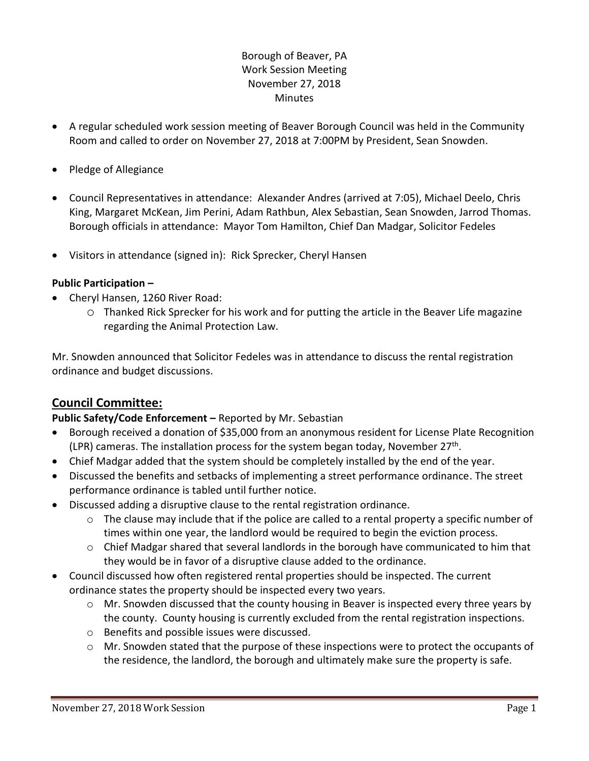### Borough of Beaver, PA Work Session Meeting November 27, 2018 **Minutes**

- A regular scheduled work session meeting of Beaver Borough Council was held in the Community Room and called to order on November 27, 2018 at 7:00PM by President, Sean Snowden.
- Pledge of Allegiance
- Council Representatives in attendance: Alexander Andres (arrived at 7:05), Michael Deelo, Chris King, Margaret McKean, Jim Perini, Adam Rathbun, Alex Sebastian, Sean Snowden, Jarrod Thomas. Borough officials in attendance: Mayor Tom Hamilton, Chief Dan Madgar, Solicitor Fedeles
- Visitors in attendance (signed in): Rick Sprecker, Cheryl Hansen

### **Public Participation –**

- Cheryl Hansen, 1260 River Road:
	- o Thanked Rick Sprecker for his work and for putting the article in the Beaver Life magazine regarding the Animal Protection Law.

Mr. Snowden announced that Solicitor Fedeles was in attendance to discuss the rental registration ordinance and budget discussions.

# **Council Committee:**

### **Public Safety/Code Enforcement –** Reported by Mr. Sebastian

- Borough received a donation of \$35,000 from an anonymous resident for License Plate Recognition (LPR) cameras. The installation process for the system began today, November 27<sup>th</sup>.
- Chief Madgar added that the system should be completely installed by the end of the year.
- Discussed the benefits and setbacks of implementing a street performance ordinance. The street performance ordinance is tabled until further notice.
- Discussed adding a disruptive clause to the rental registration ordinance.
	- $\circ$  The clause may include that if the police are called to a rental property a specific number of times within one year, the landlord would be required to begin the eviction process.
	- $\circ$  Chief Madgar shared that several landlords in the borough have communicated to him that they would be in favor of a disruptive clause added to the ordinance.
- Council discussed how often registered rental properties should be inspected. The current ordinance states the property should be inspected every two years.
	- $\circ$  Mr. Snowden discussed that the county housing in Beaver is inspected every three years by the county. County housing is currently excluded from the rental registration inspections.
	- o Benefits and possible issues were discussed.
	- $\circ$  Mr. Snowden stated that the purpose of these inspections were to protect the occupants of the residence, the landlord, the borough and ultimately make sure the property is safe.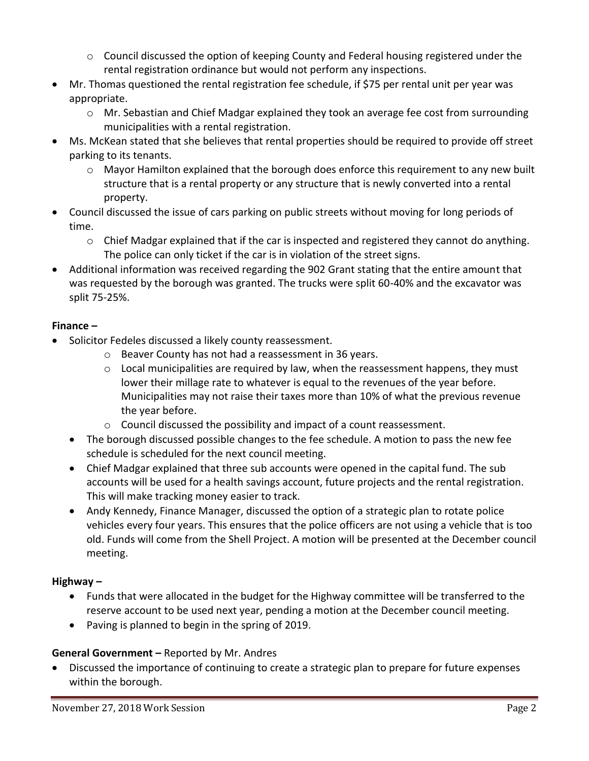- $\circ$  Council discussed the option of keeping County and Federal housing registered under the rental registration ordinance but would not perform any inspections.
- Mr. Thomas questioned the rental registration fee schedule, if \$75 per rental unit per year was appropriate.
	- $\circ$  Mr. Sebastian and Chief Madgar explained they took an average fee cost from surrounding municipalities with a rental registration.
- Ms. McKean stated that she believes that rental properties should be required to provide off street parking to its tenants.
	- $\circ$  Mayor Hamilton explained that the borough does enforce this requirement to any new built structure that is a rental property or any structure that is newly converted into a rental property.
- Council discussed the issue of cars parking on public streets without moving for long periods of time.
	- $\circ$  Chief Madgar explained that if the car is inspected and registered they cannot do anything. The police can only ticket if the car is in violation of the street signs.
- Additional information was received regarding the 902 Grant stating that the entire amount that was requested by the borough was granted. The trucks were split 60-40% and the excavator was split 75-25%.

# **Finance –**

- Solicitor Fedeles discussed a likely county reassessment.
	- o Beaver County has not had a reassessment in 36 years.
	- $\circ$  Local municipalities are required by law, when the reassessment happens, they must lower their millage rate to whatever is equal to the revenues of the year before. Municipalities may not raise their taxes more than 10% of what the previous revenue the year before.
	- o Council discussed the possibility and impact of a count reassessment.
	- The borough discussed possible changes to the fee schedule. A motion to pass the new fee schedule is scheduled for the next council meeting.
	- Chief Madgar explained that three sub accounts were opened in the capital fund. The sub accounts will be used for a health savings account, future projects and the rental registration. This will make tracking money easier to track.
	- Andy Kennedy, Finance Manager, discussed the option of a strategic plan to rotate police vehicles every four years. This ensures that the police officers are not using a vehicle that is too old. Funds will come from the Shell Project. A motion will be presented at the December council meeting.

# **Highway –**

- Funds that were allocated in the budget for the Highway committee will be transferred to the reserve account to be used next year, pending a motion at the December council meeting.
- Paving is planned to begin in the spring of 2019.

# **General Government –** Reported by Mr. Andres

 Discussed the importance of continuing to create a strategic plan to prepare for future expenses within the borough.